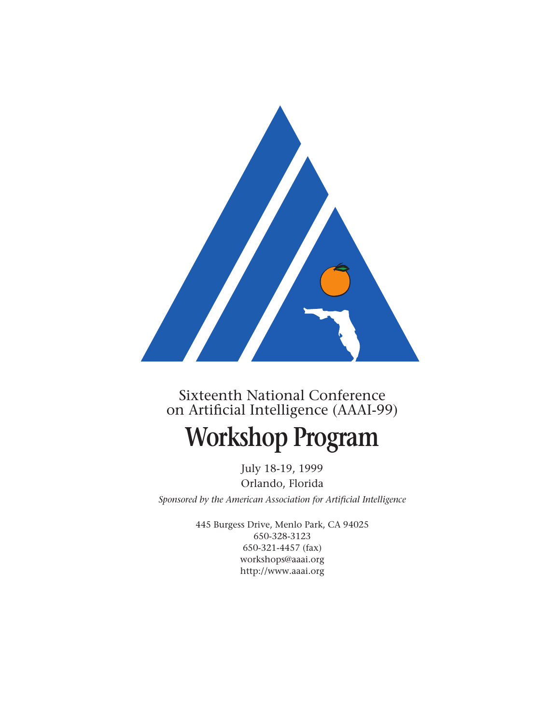

# Sixteenth National Conference on Artificial Intelligence (AAAI-99)

# **Workshop Program**

July 18-19, 1999 Orlando, Florida *Sponsored by the American Association for Artificial Intelligence*

> 445 Burgess Drive, Menlo Park, CA 94025 650-328-3123 650-321-4457 (fax) workshops@aaai.org http://www.aaai.org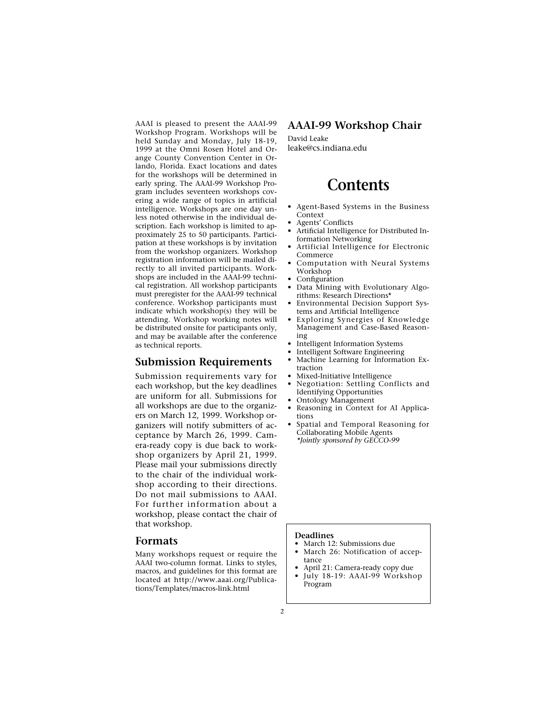AAAI is pleased to present the AAAI-99 Workshop Program. Workshops will be held Sunday and Monday, July 18-19, 1999 at the Omni Rosen Hotel and Orange County Convention Center in Orlando, Florida. Exact locations and dates for the workshops will be determined in early spring. The AAAI-99 Workshop Program includes seventeen workshops covering a wide range of topics in artificial intelligence. Workshops are one day unless noted otherwise in the individual description. Each workshop is limited to approximately 25 to 50 participants. Participation at these workshops is by invitation from the workshop organizers. Workshop registration information will be mailed directly to all invited participants. Workshops are included in the AAAI-99 technical registration. All workshop participants must preregister for the AAAI-99 technical conference. Workshop participants must indicate which workshop(s) they will be attending. Workshop working notes will be distributed onsite for participants only, and may be available after the conference as technical reports.

# **Submission Requirements**

Submission requirements vary for each workshop, but the key deadlines are uniform for all. Submissions for all workshops are due to the organizers on March 12, 1999. Workshop organizers will notify submitters of acceptance by March 26, 1999. Camera-ready copy is due back to workshop organizers by April 21, 1999. Please mail your submissions directly to the chair of the individual workshop according to their directions. Do not mail submissions to AAAI. For further information about a workshop, please contact the chair of that workshop.

#### **Formats**

Many workshops request or require the AAAI two-column format. Links to styles, macros, and guidelines for this format are located at http://www.aaai.org/Publications/Templates/macros-link.html

# **AAAI-99 Workshop Chair**

David Leake leake@cs.indiana.edu

# **Contents**

- Agent-Based Systems in the Business Context
- Agents' Conflicts
- Artificial Intelligence for Distributed Information Networking
- Artificial Intelligence for Electronic Commerce
- Computation with Neural Systems Workshop
- Configuration
- Data Mining with Evolutionary Algorithms: Research Directions\*
- Environmental Decision Support Systems and Artificial Intelligence
- Exploring Synergies of Knowledge Management and Case-Based Reasoning
- Intelligent Information Systems
- Intelligent Software Engineering<br>• Machine Learning for Informat • Machine Learning for Information Extraction
- Mixed-Initiative Intelligence
- Negotiation: Settling Conflicts and Identifying Opportunities
- Ontology Management
- Reasoning in Context for AI Applications
- Spatial and Temporal Reasoning for Collaborating Mobile Agents *\*Jointly sponsored by GECCO-99*

#### **Deadlines**

- March 12: Submissions due
- March 26: Notification of acceptance
- April 21: Camera-ready copy due • July 18-19: AAAI-99 Workshop Program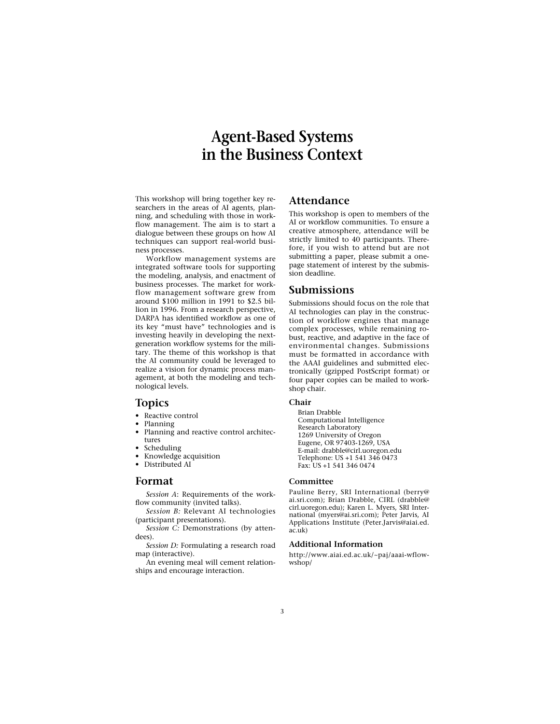# **Agent-Based Systems in the Business Context**

This workshop will bring together key researchers in the areas of AI agents, planning, and scheduling with those in workflow management. The aim is to start a dialogue between these groups on how AI techniques can support real-world business processes.

Workflow management systems are integrated software tools for supporting the modeling, analysis, and enactment of business processes. The market for workflow management software grew from around \$100 million in 1991 to \$2.5 billion in 1996. From a research perspective, DARPA has identified workflow as one of its key "must have" technologies and is investing heavily in developing the nextgeneration workflow systems for the military. The theme of this workshop is that the AI community could be leveraged to realize a vision for dynamic process management, at both the modeling and technological levels.

### **Topics**

- Reactive control
- Planning
- Planning and reactive control architectures
- **Scheduling**
- Knowledge acquisition • Distributed AI

# **Format**

*Session A*: Requirements of the workflow community (invited talks).

*Session B:* Relevant AI technologies (participant presentations).

*Session C:* Demonstrations (by attendees).

*Session D:* Formulating a research road map (interactive).

An evening meal will cement relationships and encourage interaction.

# **Attendance**

This workshop is open to members of the AI or workflow communities. To ensure a creative atmosphere, attendance will be strictly limited to 40 participants. Therefore, if you wish to attend but are not submitting a paper, please submit a onepage statement of interest by the submission deadline.

### **Submissions**

Submissions should focus on the role that AI technologies can play in the construction of workflow engines that manage complex processes, while remaining robust, reactive, and adaptive in the face of environmental changes. Submissions must be formatted in accordance with the AAAI guidelines and submitted electronically (gzipped PostScript format) or four paper copies can be mailed to workshop chair.

#### **Chair**

Brian Drabble Computational Intelligence Research Laboratory 1269 University of Oregon Eugene, OR 97403-1269, USA E-mail: drabble@cirl.uoregon.edu Telephone: US +1 541 346 0473 Fax: US +1 541 346 0474

#### **Committee**

Pauline Berry, SRI International (berry@ ai.sri.com); Brian Drabble, CIRL (drabble@ cirl.uoregon.edu); Karen L. Myers, SRI International (myers@ai.sri.com); Peter Jarvis, AI Applications Institute (Peter.Jarvis@aiai.ed. ac.uk)

#### **Additional Information**

http://www.aiai.ed.ac.uk/~paj/aaai-wflowwshop/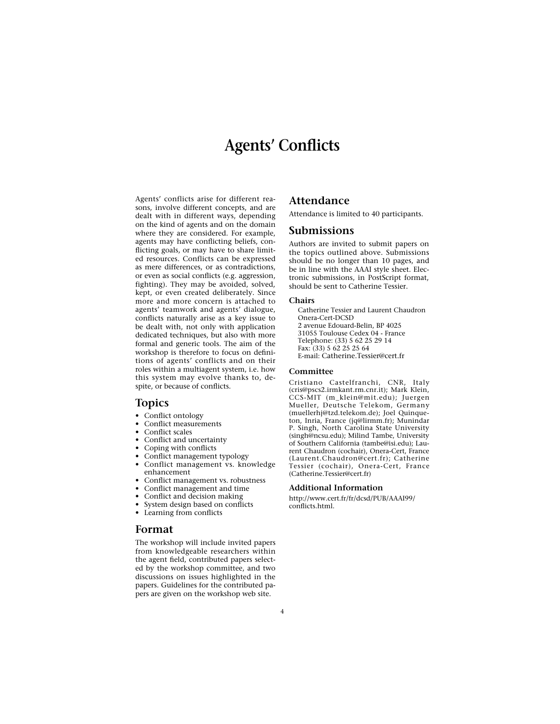# **Agents' Conflicts**

Agents' conflicts arise for different reasons, involve different concepts, and are dealt with in different ways, depending on the kind of agents and on the domain where they are considered. For example, agents may have conflicting beliefs, conflicting goals, or may have to share limited resources. Conflicts can be expressed as mere differences, or as contradictions, or even as social conflicts (e.g. aggression, fighting). They may be avoided, solved, kept, or even created deliberately. Since more and more concern is attached to agents' teamwork and agents' dialogue, conflicts naturally arise as a key issue to be dealt with, not only with application dedicated techniques, but also with more formal and generic tools. The aim of the workshop is therefore to focus on definitions of agents' conflicts and on their roles within a multiagent system, i.e. how this system may evolve thanks to, despite, or because of conflicts.

### **Topics**

- Conflict ontology
- Conflict measurements
- Conflict scales
- Conflict and uncertainty
- Coping with conflicts
- Conflict management typology
- Conflict management vs. knowledge
- enhancement Conflict management vs. robustness
- 
- Conflict management and time
- Conflict and decision making
- System design based on conflicts
- Learning from conflicts

### **Format**

The workshop will include invited papers from knowledgeable researchers within the agent field, contributed papers selected by the workshop committee, and two discussions on issues highlighted in the papers. Guidelines for the contributed papers are given on the workshop web site.

# **Attendance**

Attendance is limited to 40 participants.

#### **Submissions**

Authors are invited to submit papers on the topics outlined above. Submissions should be no longer than 10 pages, and be in line with the AAAI style sheet. Electronic submissions, in PostScript format, should be sent to Catherine Tessier.

# **Chairs**

Catherine Tessier and Laurent Chaudron Onera-Cert-DCSD 2 avenue Edouard-Belin, BP 4025 31055 Toulouse Cedex 04 - France Telephone: (33) 5 62 25 29 14 Fax: (33) 5 62 25 25 64 E-mail: Catherine.Tessier@cert.fr

#### **Committee**

Cristiano Castelfranchi, CNR, Italy (cris@pscs2.irmkant.rm.cnr.it); Mark Klein, CCS-MIT (m\_klein@mit.edu); Juergen Mueller, Deutsche Telekom, Germany (muellerhj@tzd.telekom.de); Joel Quinqueton, Inria, France (jq@lirmm.fr); Munindar P. Singh, North Carolina State University (singh@ncsu.edu); Milind Tambe, University of Southern California (tambe@isi.edu); Laurent Chaudron (cochair), Onera-Cert, France (Laurent.Chaudron@cert.fr); Catherine Tessier (cochair), Onera-Cert, France (Catherine.Tessier@cert.fr)

#### **Additional Information**

http://www.cert.fr/fr/dcsd/PUB/AAAI99/ conflicts.html.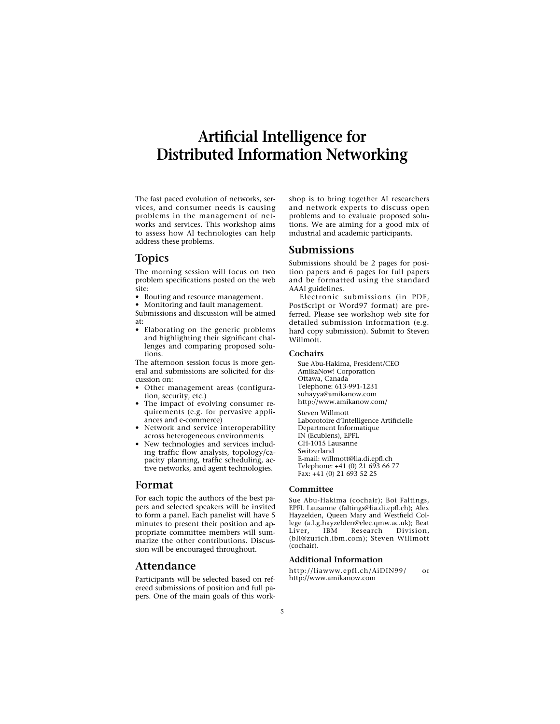# **Artificial Intelligence for Distributed Information Networking**

The fast paced evolution of networks, services, and consumer needs is causing problems in the management of networks and services. This workshop aims to assess how AI technologies can help address these problems.

# **Topics**

The morning session will focus on two problem specifications posted on the web site:

• Routing and resource management.

• Monitoring and fault management.

Submissions and discussion will be aimed at:

• Elaborating on the generic problems and highlighting their significant challenges and comparing proposed solutions.

The afternoon session focus is more general and submissions are solicited for discussion on:

- Other management areas (configuration, security, etc.)
- The impact of evolving consumer requirements (e.g. for pervasive appliances and e-commerce)
- Network and service interoperability across heterogeneous environments
- New technologies and services including traffic flow analysis, topology/capacity planning, traffic scheduling, active networks, and agent technologies.

### **Format**

For each topic the authors of the best papers and selected speakers will be invited to form a panel. Each panelist will have 5 minutes to present their position and appropriate committee members will summarize the other contributions. Discussion will be encouraged throughout.

### **Attendance**

Participants will be selected based on refereed submissions of position and full papers. One of the main goals of this workshop is to bring together AI researchers and network experts to discuss open problems and to evaluate proposed solutions. We are aiming for a good mix of industrial and academic participants.

### **Submissions**

Submissions should be 2 pages for position papers and 6 pages for full papers and be formatted using the standard AAAI guidelines.

Electronic submissions (in PDF, PostScript or Word97 format) are preferred. Please see workshop web site for detailed submission information (e.g. hard copy submission). Submit to Steven Willmott.

#### **Cochairs**

Sue Abu-Hakima, President/CEO AmikaNow! Corporation Ottawa, Canada Telephone: 613-991-1231 suhayya@amikanow.com http://www.amikanow.com/

Steven Willmott Laborotoire d'Intelligence Artificielle Department Informatique IN (Ecublens), EPFL CH-1015 Lausanne Switzerland E-mail: willmott@lia.di.epfl.ch Telephone: +41 (0) 21 693 66 77 Fax: +41 (0) 21 693 52 25

#### **Committee**

Sue Abu-Hakima (cochair); Boi Faltings, EPFL Lausanne (faltings@lia.di.epfl.ch); Alex Hayzelden, Queen Mary and Westfield College (a.l.g.hayzelden@elec.qmw.ac.uk); Beat Liver, IBM Research Division, (bli@zurich.ibm.com); Steven Willmott (cochair).

#### **Additional Information**

http://liawww.epfl.ch/AiDIN99/ or http://www.amikanow.com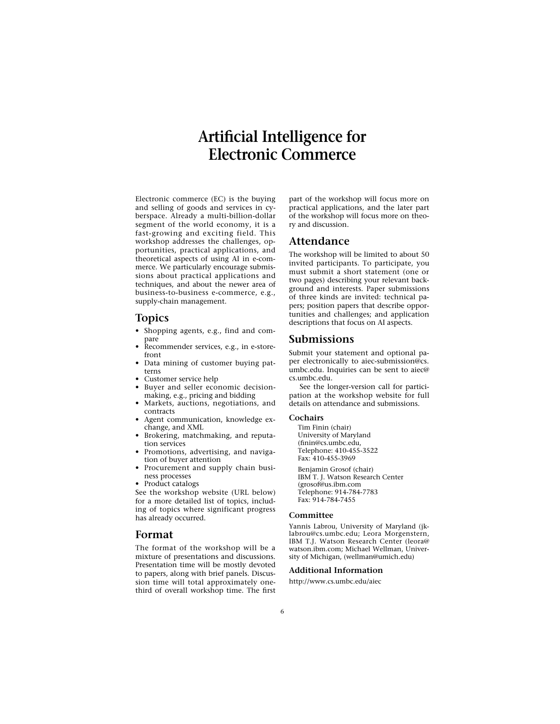# **Artificial Intelligence for Electronic Commerce**

Electronic commerce (EC) is the buying and selling of goods and services in cyberspace. Already a multi-billion-dollar segment of the world economy, it is a fast-growing and exciting field. This workshop addresses the challenges, opportunities, practical applications, and theoretical aspects of using AI in e-commerce. We particularly encourage submissions about practical applications and techniques, and about the newer area of business-to-business e-commerce, e.g., supply-chain management.

# **Topics**

- Shopping agents, e.g., find and compare
- Recommender services, e.g., in e-storefront
- Data mining of customer buying patterns
- Customer service help
- Buyer and seller economic decisionmaking, e.g., pricing and bidding
- Markets, auctions, negotiations, and contracts
- Agent communication, knowledge exchange, and XML
- Brokering, matchmaking, and reputation services
- Promotions, advertising, and navigation of buyer attention
- Procurement and supply chain business processes
- Product catalogs

See the workshop website (URL below) for a more detailed list of topics, including of topics where significant progress has already occurred.

### **Format**

The format of the workshop will be a mixture of presentations and discussions. Presentation time will be mostly devoted to papers, along with brief panels. Discussion time will total approximately onethird of overall workshop time. The first part of the workshop will focus more on practical applications, and the later part of the workshop will focus more on theory and discussion.

# **Attendance**

The workshop will be limited to about 50 invited participants. To participate, you must submit a short statement (one or two pages) describing your relevant background and interests. Paper submissions of three kinds are invited: technical papers; position papers that describe opportunities and challenges; and application descriptions that focus on AI aspects.

### **Submissions**

Submit your statement and optional paper electronically to aiec-submission@cs. umbc.edu. Inquiries can be sent to aiec@ cs.umbc.edu.

See the longer-version call for participation at the workshop website for full details on attendance and submissions.

#### **Cochairs**

Tim Finin (chair) University of Maryland (finin@cs.umbc.edu, Telephone: 410-455-3522 Fax: 410-455-3969

Benjamin Grosof (chair) IBM T. J. Watson Research Center (grosof@us.ibm.com Telephone: 914-784-7783 Fax: 914-784-7455

#### **Committee**

Yannis Labrou, University of Maryland (jklabrou@cs.umbc.edu; Leora Morgenstern, IBM T.J. Watson Research Center (leora@ watson.ibm.com; Michael Wellman, University of Michigan, (wellman@umich.edu)

#### **Additional Information**

http://www.cs.umbc.edu/aiec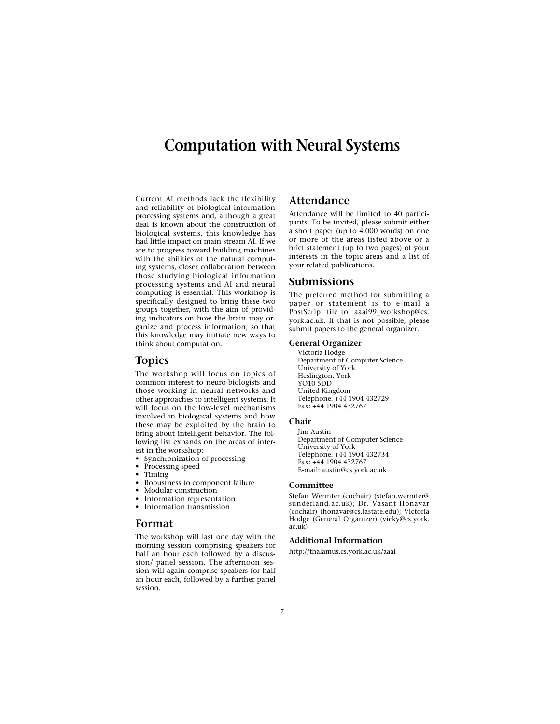# **Computation with Neural Systems**

Current AI methods lack the flexibility and reliability of biological information processing systems and, although a great deal is known about the construction of biological systems, this knowledge has had little impact on main stream AI. If we are to progress toward building machines with the abilities of the natural computing systems, closer collaboration between those studying biological information processing systems and AI and neural computing is essential. This workshop is specifically designed to bring these two groups together, with the aim of providing indicators on how the brain may organize and process information, so that this knowledge may initiate new ways to think about computation.

### **Topics**

The workshop will focus on topics of common interest to neuro-biologists and those working in neural networks and other approaches to intelligent systems. It will focus on the low-level mechanisms involved in biological systems and how these may be exploited by the brain to bring about intelligent behavior. The following list expands on the areas of interest in the workshop:

- Synchronization of processing
- Processing speed
- Timing
- Robustness to component failure
- Modular construction
- Information representation
- Information transmission

#### **Format**

The workshop will last one day with the morning session comprising speakers for half an hour each followed by a discussion/ panel session. The afternoon session will again comprise speakers for half an hour each, followed by a further panel session.

# **Attendance**

Attendance will be limited to 40 participants. To be invited, please submit either a short paper (up to 4,000 words) on one or more of the areas listed above or a brief statement (up to two pages) of your interests in the topic areas and a list of your related publications.

#### **Submissions**

The preferred method for submitting a paper or statement is to e-mail a PostScript file to aaai99\_workshop@cs. york.ac.uk. If that is not possible, please submit papers to the general organizer.

#### **General Organizer**

Victoria Hodge Department of Computer Science University of York Heslington, York YO10 5DD United Kingdom Telephone: +44 1904 432729 Fax: +44 1904 432767

#### **Chair**

Jim Austin Department of Computer Science University of York Telephone: +44 1904 432734 Fax: +44 1904 432767 E-mail: austin@cs.york.ac.uk

#### **Committee**

Stefan Wermter (cochair) (stefan.wermter@ sunderland.ac.uk); Dr. Vasant Honavar (cochair) (honavar@cs.iastate.edu); Victoria Hodge (General Organizer) (vicky@cs.york. ac.uk)

#### **Additional Information**

http://thalamus.cs.york.ac.uk/aaai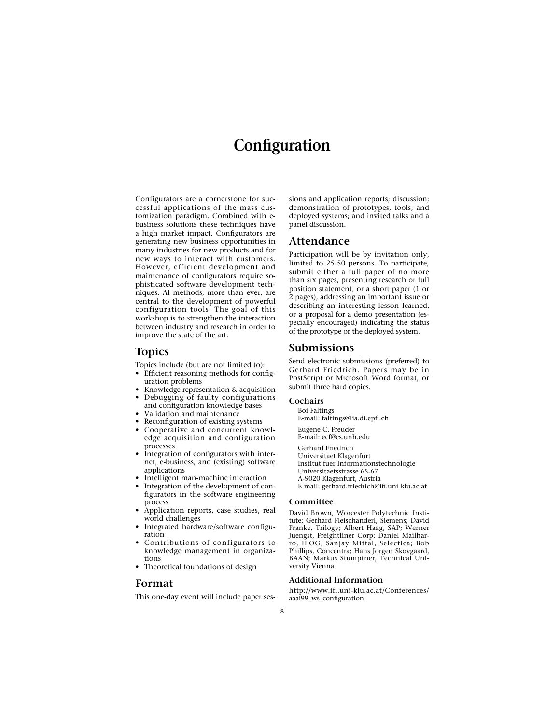# **Configuration**

Configurators are a cornerstone for successful applications of the mass customization paradigm. Combined with ebusiness solutions these techniques have a high market impact. Configurators are generating new business opportunities in many industries for new products and for new ways to interact with customers. However, efficient development and maintenance of configurators require sophisticated software development techniques. AI methods, more than ever, are central to the development of powerful configuration tools. The goal of this workshop is to strengthen the interaction between industry and research in order to improve the state of the art.

# **Topics**

Topics include (but are not limited to):.

- Efficient reasoning methods for configuration problems
- Knowledge representation & acquisition<br>• Debugging of faulty configurations • Debugging of faulty configurations and configuration knowledge bases
- 
- Validation and maintenance
- Reconfiguration of existing systems
- Cooperative and concurrent knowledge acquisition and configuration processes
- Integration of configurators with internet, e-business, and (existing) software applications
- Intelligent man-machine interaction
- Integration of the development of configurators in the software engineering process
- Application reports, case studies, real world challenges
- Integrated hardware/software configuration
- Contributions of configurators to knowledge management in organizations
- Theoretical foundations of design

# **Format**

This one-day event will include paper ses-

sions and application reports; discussion; demonstration of prototypes, tools, and deployed systems; and invited talks and a panel discussion.

# **Attendance**

Participation will be by invitation only, limited to 25-50 persons. To participate, submit either a full paper of no more than six pages, presenting research or full position statement, or a short paper (1 or 2 pages), addressing an important issue or describing an interesting lesson learned, or a proposal for a demo presentation (especially encouraged) indicating the status of the prototype or the deployed system.

#### **Submissions**

Send electronic submissions (preferred) to Gerhard Friedrich. Papers may be in PostScript or Microsoft Word format, or submit three hard copies.

#### **Cochairs**

- Boi Faltings E-mail: faltings@lia.di.epfl.ch
- Eugene C. Freuder E-mail: ecf@cs.unh.edu
- Gerhard Friedrich Universitaet Klagenfurt Institut fuer Informationstechnologie Universitaetsstrasse 65-67 A-9020 Klagenfurt, Austria E-mail: gerhard.friedrich@ifi.uni-klu.ac.at

#### **Committee**

David Brown, Worcester Polytechnic Institute; Gerhard Fleischanderl, Siemens; David Franke, Trilogy; Albert Haag, SAP; Werner Juengst, Freightliner Corp; Daniel Mailharro, ILOG; Sanjay Mittal, Selectica; Bob Phillips, Concentra; Hans Jorgen Skovgaard, BAAN; Markus Stumptner, Technical University Vienna

#### **Additional Information**

http://www.ifi.uni-klu.ac.at/Conferences/ aaai99\_ws\_configuration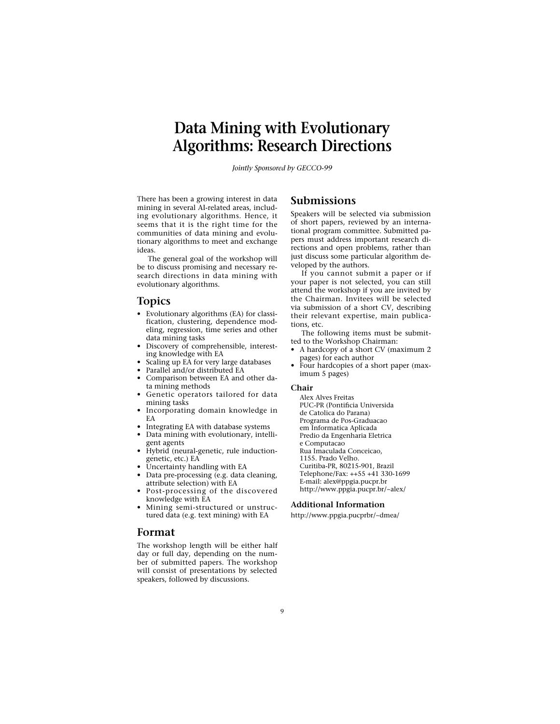# **Data Mining with Evolutionary Algorithms: Research Directions**

*Jointly Sponsored by GECCO-99*

There has been a growing interest in data mining in several AI-related areas, including evolutionary algorithms. Hence, it seems that it is the right time for the communities of data mining and evolutionary algorithms to meet and exchange ideas.

The general goal of the workshop will be to discuss promising and necessary research directions in data mining with evolutionary algorithms.

#### **Topics**

- Evolutionary algorithms (EA) for classification, clustering, dependence modeling, regression, time series and other data mining tasks
- Discovery of comprehensible, interesting knowledge with EA
- Scaling up EA for very large databases
- Parallel and/or distributed EA
- Comparison between EA and other data mining methods
- Genetic operators tailored for data mining tasks
- Incorporating domain knowledge in EA
- Integrating EA with database systems
- Data mining with evolutionary, intelligent agents
- Hybrid (neural-genetic, rule inductiongenetic, etc.) EA
- Uncertainty handling with EA
- Data pre-processing (e.g. data cleaning, attribute selection) with EA
- Post-processing of the discovered knowledge with EA
- Mining semi-structured or unstructured data (e.g. text mining) with EA

#### **Format**

The workshop length will be either half day or full day, depending on the number of submitted papers. The workshop will consist of presentations by selected speakers, followed by discussions.

# **Submissions**

Speakers will be selected via submission of short papers, reviewed by an international program committee. Submitted papers must address important research directions and open problems, rather than just discuss some particular algorithm developed by the authors.

If you cannot submit a paper or if your paper is not selected, you can still attend the workshop if you are invited by the Chairman. Invitees will be selected via submission of a short CV, describing their relevant expertise, main publications, etc.

The following items must be submitted to the Workshop Chairman:

- A hardcopy of a short CV (maximum 2 pages) for each author
- Four hardcopies of a short paper (maximum 5 pages)

#### **Chair**

Alex Alves Freitas PUC-PR (Pontificia Universida de Catolica do Parana) Programa de Pos-Graduacao em Informatica Aplicada Predio da Engenharia Eletrica e Computacao Rua Imaculada Conceicao, 1155. Prado Velho. Curitiba-PR, 80215-901, Brazil Telephone/Fax: ++55 +41 330-1699 E-mail: alex@ppgia.pucpr.br http://www.ppgia.pucpr.br/~alex/

#### **Additional Information**

http://www.ppgia.pucprbr/~dmea/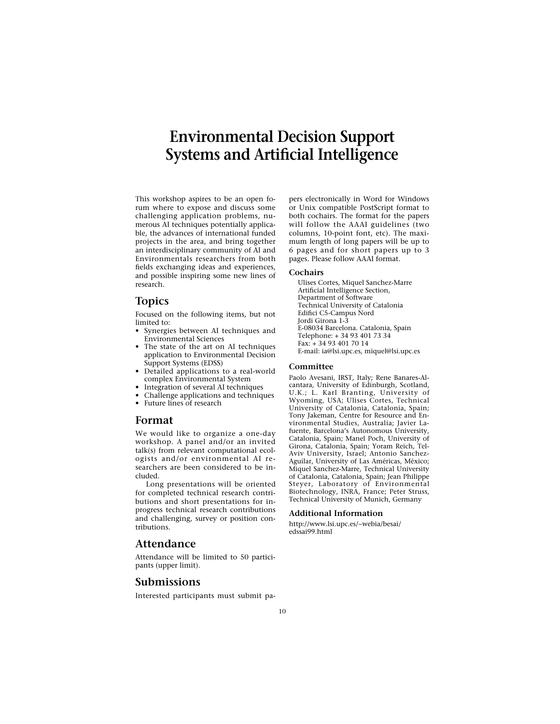# **Environmental Decision Support Systems and Artificial Intelligence**

This workshop aspires to be an open forum where to expose and discuss some challenging application problems, numerous AI techniques potentially applicable, the advances of international funded projects in the area, and bring together an interdisciplinary community of AI and Environmentals researchers from both fields exchanging ideas and experiences, and possible inspiring some new lines of research.

### **Topics**

Focused on the following items, but not limited to:

- Synergies between AI techniques and Environmental Sciences
- The state of the art on AI techniques application to Environmental Decision Support Systems (EDSS)
- Detailed applications to a real-world complex Environmental System
- Integration of several AI techniques
- Challenge applications and techniques
- Future lines of research

### **Format**

We would like to organize a one-day workshop. A panel and/or an invited talk(s) from relevant computational ecologists and/or environmental AI researchers are been considered to be included.

Long presentations will be oriented for completed technical research contributions and short presentations for inprogress technical research contributions and challenging, survey or position contributions.

# **Attendance**

Attendance will be limited to 50 participants (upper limit).

# **Submissions**

Interested participants must submit pa-

pers electronically in Word for Windows or Unix compatible PostScript format to both cochairs. The format for the papers will follow the AAAI guidelines (two columns, 10-point font, etc). The maximum length of long papers will be up to 6 pages and for short papers up to 3 pages. Please follow AAAI format.

#### **Cochairs**

Ulises Cortes, Miquel Sanchez-Marre Artificial Intelligence Section, Department of Software Technical University of Catalonia Edifici C5-Campus Nord Jordi Girona 1-3 E-08034 Barcelona. Catalonia, Spain Telephone: + 34 93 401 73 34 Fax: + 34 93 401 70 14 E-mail: ia@lsi.upc.es, miquel@lsi.upc.es

#### **Committee**

Paolo Avesani, IRST, Italy; Rene Banares-Alcantara, University of Edinburgh, Scotland, U.K.; L. Karl Branting, University of Wyoming, USA; Ulises Cortes, Technical University of Catalonia, Catalonia, Spain; Tony Jakeman, Centre for Resource and Environmental Studies, Australia; Javier Lafuente, Barcelona's Autonomous University, Catalonia, Spain; Manel Poch, University of Girona, Catalonia, Spain; Yoram Reich, Tel-Aviv University, Israel; Antonio Sanchez-Aguilar, University of Las Américas, México; Miquel Sanchez-Marre, Technical University of Catalonia, Catalonia, Spain; Jean Philippe Steyer, Laboratory of Environmental Biotechnology, INRA, France; Peter Struss, Technical University of Munich, Germany

#### **Additional Information**

http://www.lsi.upc.es/~webia/besai/ edssai99.html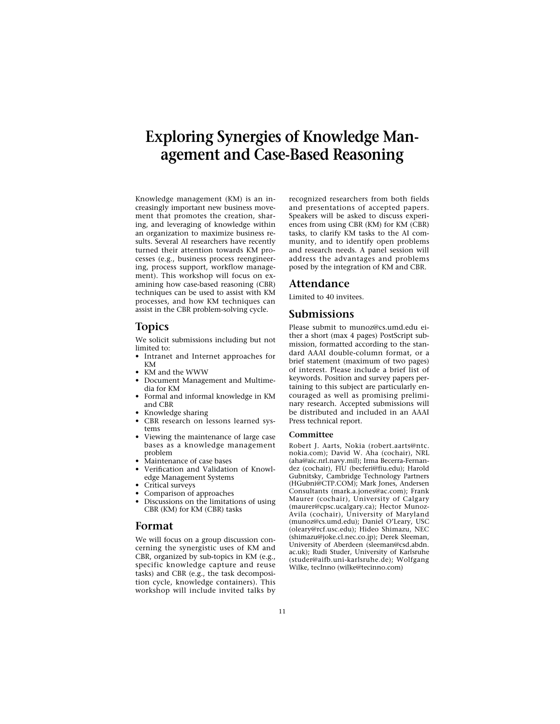# **Exploring Synergies of Knowledge Management and Case-Based Reasoning**

Knowledge management (KM) is an increasingly important new business movement that promotes the creation, sharing, and leveraging of knowledge within an organization to maximize business results. Several AI researchers have recently turned their attention towards KM processes (e.g., business process reengineering, process support, workflow management). This workshop will focus on examining how case-based reasoning (CBR) techniques can be used to assist with KM processes, and how KM techniques can assist in the CBR problem-solving cycle.

# **Topics**

We solicit submissions including but not limited to:

- Intranet and Internet approaches for KM
- KM and the WWW
- Document Management and Multimedia for KM
- Formal and informal knowledge in KM and CBR
- Knowledge sharing
- CBR research on lessons learned systems
- Viewing the maintenance of large case bases as a knowledge management problem
- Maintenance of case bases
- Verification and Validation of Knowledge Management Systems
- Critical surveys
- Comparison of approaches
- Discussions on the limitations of using CBR (KM) for KM (CBR) tasks

# **Format**

We will focus on a group discussion concerning the synergistic uses of KM and CBR, organized by sub-topics in KM (e.g., specific knowledge capture and reuse tasks) and CBR (e.g., the task decomposition cycle, knowledge containers). This workshop will include invited talks by

recognized researchers from both fields and presentations of accepted papers. Speakers will be asked to discuss experiences from using CBR (KM) for KM (CBR) tasks, to clarify KM tasks to the AI community, and to identify open problems and research needs. A panel session will address the advantages and problems posed by the integration of KM and CBR.

### **Attendance**

Limited to 40 invitees.

# **Submissions**

Please submit to munoz@cs.umd.edu either a short (max 4 pages) PostScript submission, formatted according to the standard AAAI double-column format, or a brief statement (maximum of two pages) of interest. Please include a brief list of keywords. Position and survey papers pertaining to this subject are particularly encouraged as well as promising preliminary research. Accepted submissions will be distributed and included in an AAAI Press technical report.

#### **Committee**

Robert J. Aarts, Nokia (robert.aarts@ntc. nokia.com); David W. Aha (cochair), NRL (aha@aic.nrl.navy.mil); Irma Becerra-Fernandez (cochair), FIU (becferi@fiu.edu); Harold Gubnitsky, Cambridge Technology Partners (HGubni@CTP.COM); Mark Jones, Andersen Consultants (mark.a.jones@ac.com); Frank Maurer (cochair), University of Calgary (maurer@cpsc.ucalgary.ca); Hector Munoz-Avila (cochair), University of Maryland (munoz@cs.umd.edu); Daniel O'Leary, USC (oleary@rcf.usc.edu); Hideo Shimazu, NEC (shimazu@joke.cl.nec.co.jp); Derek Sleeman, University of Aberdeen (sleeman@csd.abdn. ac.uk); Rudi Studer, University of Karlsruhe (studer@aifb.uni-karlsruhe.de); Wolfgang Wilke, tecInno (wilke@tecinno.com)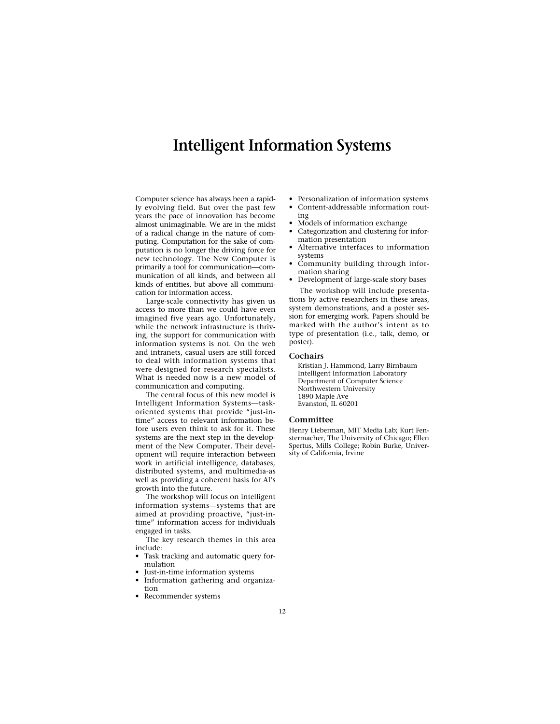# **Intelligent Information Systems**

Computer science has always been a rapidly evolving field. But over the past few years the pace of innovation has become almost unimaginable. We are in the midst of a radical change in the nature of computing. Computation for the sake of computation is no longer the driving force for new technology. The New Computer is primarily a tool for communication—communication of all kinds, and between all kinds of entities, but above all communication for information access.

Large-scale connectivity has given us access to more than we could have even imagined five years ago. Unfortunately, while the network infrastructure is thriving, the support for communication with information systems is not. On the web and intranets, casual users are still forced to deal with information systems that were designed for research specialists. What is needed now is a new model of communication and computing.

The central focus of this new model is Intelligent Information Systems—taskoriented systems that provide "just-intime" access to relevant information before users even think to ask for it. These systems are the next step in the development of the New Computer. Their development will require interaction between work in artificial intelligence, databases, distributed systems, and multimedia-as well as providing a coherent basis for AI's growth into the future.

The workshop will focus on intelligent information systems—systems that are aimed at providing proactive, "just-intime" information access for individuals engaged in tasks.

The key research themes in this area include:

- Task tracking and automatic query formulation
- Just-in-time information systems
- Information gathering and organization
- Recommender systems
- Personalization of information systems
- Content-addressable information routing
- Models of information exchange
- Categorization and clustering for information presentation
- Alternative interfaces to information systems
- Community building through information sharing
- Development of large-scale story bases The workshop will include presenta-

tions by active researchers in these areas, system demonstrations, and a poster session for emerging work. Papers should be marked with the author's intent as to type of presentation (i.e., talk, demo, or poster).

#### **Cochairs**

Kristian J. Hammond, Larry Birnbaum Intelligent Information Laboratory Department of Computer Science Northwestern University 1890 Maple Ave Evanston, IL 60201

#### **Committee**

Henry Lieberman, MIT Media Lab; Kurt Fenstermacher, The University of Chicago; Ellen Spertus, Mills College; Robin Burke, University of California, Irvine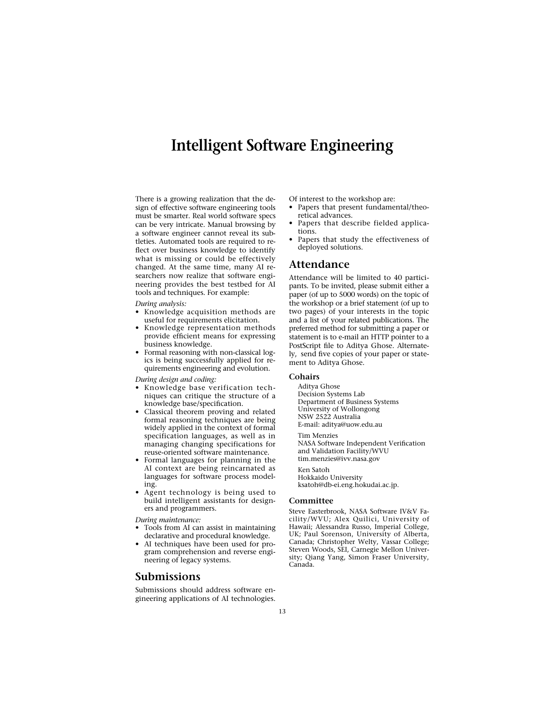# **Intelligent Software Engineering**

There is a growing realization that the design of effective software engineering tools must be smarter. Real world software specs can be very intricate. Manual browsing by a software engineer cannot reveal its subtleties. Automated tools are required to reflect over business knowledge to identify what is missing or could be effectively changed. At the same time, many AI researchers now realize that software engineering provides the best testbed for AI tools and techniques. For example:

*During analysis:*

- Knowledge acquisition methods are useful for requirements elicitation.
- Knowledge representation methods provide efficient means for expressing business knowledge.
- Formal reasoning with non-classical logics is being successfully applied for requirements engineering and evolution.

*During design and coding:*

- Knowledge base verification techniques can critique the structure of a knowledge base/specification.
- Classical theorem proving and related formal reasoning techniques are being widely applied in the context of formal specification languages, as well as in managing changing specifications for reuse-oriented software maintenance.
- Formal languages for planning in the AI context are being reincarnated as languages for software process modeling.
- Agent technology is being used to build intelligent assistants for designers and programmers.

*During maintenance:*

- Tools from AI can assist in maintaining declarative and procedural knowledge.
- AI techniques have been used for program comprehension and reverse engineering of legacy systems.

# **Submissions**

Submissions should address software engineering applications of AI technologies.

Of interest to the workshop are:

- Papers that present fundamental/theoretical advances.
- Papers that describe fielded applications.
- Papers that study the effectiveness of deployed solutions.

### **Attendance**

Attendance will be limited to 40 participants. To be invited, please submit either a paper (of up to 5000 words) on the topic of the workshop or a brief statement (of up to two pages) of your interests in the topic and a list of your related publications. The preferred method for submitting a paper or statement is to e-mail an HTTP pointer to a PostScript file to Aditya Ghose. Alternately, send five copies of your paper or statement to Aditya Ghose.

#### **Cohairs**

Aditya Ghose Decision Systems Lab Department of Business Systems University of Wollongong NSW 2522 Australia E-mail: aditya@uow.edu.au Tim Menzies NASA Software Independent Verification

and Validation Facility/WVU tim.menzies@ivv.nasa.gov

Ken Satoh Hokkaido University ksatoh@db-ei.eng.hokudai.ac.jp.

#### **Committee**

Steve Easterbrook, NASA Software IV&V Facility/WVU; Alex Quilici, University of Hawaii; Alessandra Russo, Imperial College, UK; Paul Sorenson, University of Alberta, Canada; Christopher Welty, Vassar College; Steven Woods, SEI, Carnegie Mellon University; Qiang Yang, Simon Fraser University, Canada.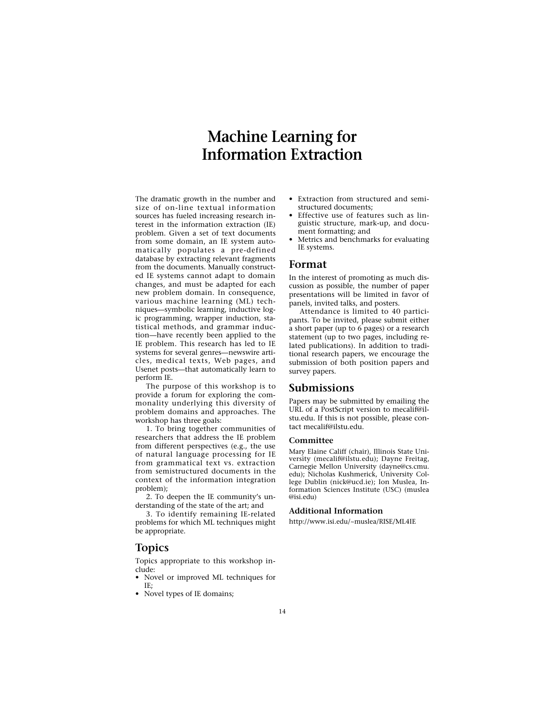# **Machine Learning for Information Extraction**

The dramatic growth in the number and size of on-line textual information sources has fueled increasing research interest in the information extraction (IE) problem. Given a set of text documents from some domain, an IE system automatically populates a pre-defined database by extracting relevant fragments from the documents. Manually constructed IE systems cannot adapt to domain changes, and must be adapted for each new problem domain. In consequence, various machine learning (ML) techniques—symbolic learning, inductive logic programming, wrapper induction, statistical methods, and grammar induction—have recently been applied to the IE problem. This research has led to IE systems for several genres—newswire articles, medical texts, Web pages, and Usenet posts—that automatically learn to perform IE.

The purpose of this workshop is to provide a forum for exploring the commonality underlying this diversity of problem domains and approaches. The workshop has three goals:

1. To bring together communities of researchers that address the IE problem from different perspectives (e.g., the use of natural language processing for IE from grammatical text vs. extraction from semistructured documents in the context of the information integration problem);

2. To deepen the IE community's understanding of the state of the art; and

3. To identify remaining IE-related problems for which ML techniques might be appropriate.

# **Topics**

Topics appropriate to this workshop include:

- Novel or improved ML techniques for IE;
- Novel types of IE domains;
- Extraction from structured and semistructured documents;
- Effective use of features such as linguistic structure, mark-up, and document formatting; and
- Metrics and benchmarks for evaluating IE systems.

### **Format**

In the interest of promoting as much discussion as possible, the number of paper presentations will be limited in favor of panels, invited talks, and posters.

Attendance is limited to 40 participants. To be invited, please submit either a short paper (up to 6 pages) or a research statement (up to two pages, including related publications). In addition to traditional research papers, we encourage the submission of both position papers and survey papers.

#### **Submissions**

Papers may be submitted by emailing the URL of a PostScript version to mecalif@ilstu.edu. If this is not possible, please contact mecalif@ilstu.edu.

#### **Committee**

Mary Elaine Califf (chair), Illinois State University (mecalif@ilstu.edu); Dayne Freitag, Carnegie Mellon University (dayne@cs.cmu. edu); Nicholas Kushmerick, University College Dublin (nick@ucd.ie); Ion Muslea, Information Sciences Institute (USC) (muslea @isi.edu)

#### **Additional Information**

http://www.isi.edu/~muslea/RISE/ML4IE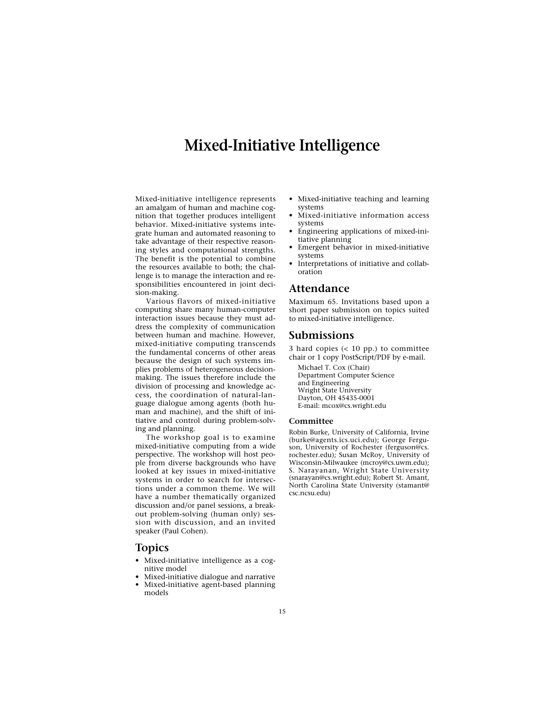# **Mixed-Initiative Intelligence**

Mixed-initiative intelligence represents an amalgam of human and machine cognition that together produces intelligent behavior. Mixed-initiative systems integrate human and automated reasoning to take advantage of their respective reasoning styles and computational strengths. The benefit is the potential to combine the resources available to both; the challenge is to manage the interaction and responsibilities encountered in joint decision-making.

Various flavors of mixed-initiative computing share many human-computer interaction issues because they must address the complexity of communication between human and machine. However, mixed-initiative computing transcends the fundamental concerns of other areas because the design of such systems implies problems of heterogeneous decisionmaking. The issues therefore include the division of processing and knowledge access, the coordination of natural-language dialogue among agents (both human and machine), and the shift of initiative and control during problem-solving and planning.

The workshop goal is to examine mixed-initiative computing from a wide perspective. The workshop will host people from diverse backgrounds who have looked at key issues in mixed-initiative systems in order to search for intersections under a common theme. We will have a number thematically organized discussion and/or panel sessions, a breakout problem-solving (human only) session with discussion, and an invited speaker (Paul Cohen).

#### **Topics**

- Mixed-initiative intelligence as a cognitive model
- Mixed-initiative dialogue and narrative
- Mixed-initiative agent-based planning models
- Mixed-initiative teaching and learning systems
- Mixed-initiative information access systems
- Engineering applications of mixed-initiative planning
- Emergent behavior in mixed-initiative systems
- Interpretations of initiative and collaboration

#### **Attendance**

Maximum 65. Invitations based upon a short paper submission on topics suited to mixed-initiative intelligence.

### **Submissions**

3 hard copies  $( $10$  pp.) to committee$ chair or 1 copy PostScript/PDF by e-mail.

Michael T. Cox (Chair) Department Computer Science and Engineering Wright State University Dayton, OH 45435-0001 E-mail: mcox@cs.wright.edu

#### **Committee**

Robin Burke, University of California, Irvine (burke@agents.ics.uci.edu); George Ferguson, University of Rochester (ferguson@cs. rochester.edu); Susan McRoy, University of Wisconsin-Milwaukee (mcroy@cs.uwm.edu); S. Narayanan, Wright State University (snarayan@cs.wright.edu); Robert St. Amant, North Carolina State University (stamant@ csc.ncsu.edu)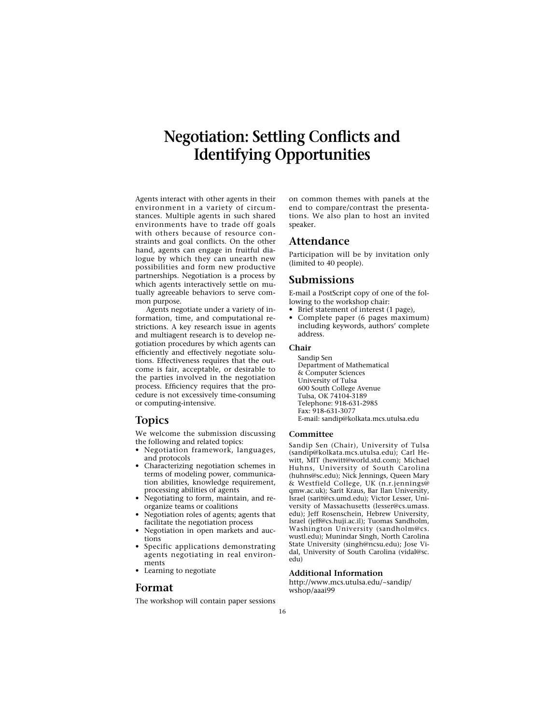# **Negotiation: Settling Conflicts and Identifying Opportunities**

Agents interact with other agents in their environment in a variety of circumstances. Multiple agents in such shared environments have to trade off goals with others because of resource constraints and goal conflicts. On the other hand, agents can engage in fruitful dialogue by which they can unearth new possibilities and form new productive partnerships. Negotiation is a process by which agents interactively settle on mutually agreeable behaviors to serve common purpose.

Agents negotiate under a variety of information, time, and computational restrictions. A key research issue in agents and multiagent research is to develop negotiation procedures by which agents can efficiently and effectively negotiate solutions. Effectiveness requires that the outcome is fair, acceptable, or desirable to the parties involved in the negotiation process. Efficiency requires that the procedure is not excessively time-consuming or computing-intensive.

### **Topics**

We welcome the submission discussing the following and related topics:

- Negotiation framework, languages, and protocols
- Characterizing negotiation schemes in terms of modeling power, communication abilities, knowledge requirement, processing abilities of agents
- Negotiating to form, maintain, and reorganize teams or coalitions
- Negotiation roles of agents; agents that facilitate the negotiation process
- Negotiation in open markets and auctions
- Specific applications demonstrating agents negotiating in real environments
- Learning to negotiate

# **Format**

The workshop will contain paper sessions

on common themes with panels at the end to compare/contrast the presentations. We also plan to host an invited speaker.

# **Attendance**

Participation will be by invitation only (limited to 40 people).

### **Submissions**

E-mail a PostScript copy of one of the following to the workshop chair:

- Brief statement of interest (1 page),<br>• Complete paper (6 pages maximi
- Complete paper (6 pages maximum) including keywords, authors' complete address.

#### **Chair**

Sandip Sen Department of Mathematical & Computer Sciences University of Tulsa 600 South College Avenue Tulsa, OK 74104-3189 Telephone: 918-631-2985 Fax: 918-631-3077 E-mail: sandip@kolkata.mcs.utulsa.edu

#### **Committee**

Sandip Sen (Chair), University of Tulsa (sandip@kolkata.mcs.utulsa.edu); Carl Hewitt, MIT (hewitt@world.std.com); Michael Huhns, University of South Carolina (huhns@sc.edu); Nick Jennings, Queen Mary & Westfield College, UK (n.r.jennings@ qmw.ac.uk); Sarit Kraus, Bar Ilan University, Israel (sarit@cs.umd.edu); Victor Lesser, University of Massachusetts (lesser@cs.umass. edu); Jeff Rosenschein, Hebrew University, Israel (jeff@cs.huji.ac.il); Tuomas Sandholm, Washington University (sandholm@cs. wustl.edu); Munindar Singh, North Carolina State University (singh@ncsu.edu); Jose Vidal, University of South Carolina (vidal@sc. edu)

#### **Additional Information**

http://www.mcs.utulsa.edu/~sandip/ wshop/aaai99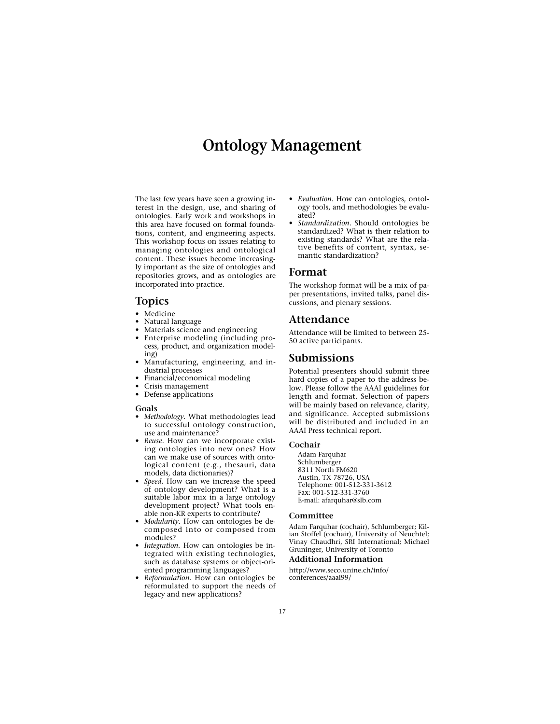# **Ontology Management**

The last few years have seen a growing interest in the design, use, and sharing of ontologies. Early work and workshops in this area have focused on formal foundations, content, and engineering aspects. This workshop focus on issues relating to managing ontologies and ontological content. These issues become increasingly important as the size of ontologies and repositories grows, and as ontologies are incorporated into practice.

### **Topics**

- Medicine
- Natural language
- Materials science and engineering
- Enterprise modeling (including process, product, and organization modeling)
- Manufacturing, engineering, and industrial processes
- Financial/economical modeling
- Crisis management
- Defense applications

#### **Goals**

- *Methodology.* What methodologies lead to successful ontology construction, use and maintenance?
- *Reuse.* How can we incorporate existing ontologies into new ones? How can we make use of sources with ontological content (e.g., thesauri, data models, data dictionaries)?
- *Speed.* How can we increase the speed of ontology development? What is a suitable labor mix in a large ontology development project? What tools enable non-KR experts to contribute?
- *Modularity.* How can ontologies be decomposed into or composed from modules?
- *Integration.* How can ontologies be integrated with existing technologies, such as database systems or object-oriented programming languages?
- *Reformulation.* How can ontologies be reformulated to support the needs of legacy and new applications?
- *Evaluation.* How can ontologies, ontology tools, and methodologies be evaluated?
- *Standardization.* Should ontologies be standardized? What is their relation to existing standards? What are the relative benefits of content, syntax, semantic standardization?

#### **Format**

The workshop format will be a mix of paper presentations, invited talks, panel discussions, and plenary sessions.

#### **Attendance**

Attendance will be limited to between 25- 50 active participants.

### **Submissions**

Potential presenters should submit three hard copies of a paper to the address below. Please follow the AAAI guidelines for length and format. Selection of papers will be mainly based on relevance, clarity, and significance. Accepted submissions will be distributed and included in an AAAI Press technical report.

#### **Cochair**

Adam Farquhar Schlumberger 8311 North FM620 Austin, TX 78726, USA Telephone: 001-512-331-3612 Fax: 001-512-331-3760 E-mail: afarquhar@slb.com

#### **Committee**

Adam Farquhar (cochair), Schlumberger; Kilian Stoffel (cochair), University of Neuchtel; Vinay Chaudhri, SRI International; Michael Gruninger, University of Toronto

#### **Additional Information**

http://www.seco.unine.ch/info/ conferences/aaai99/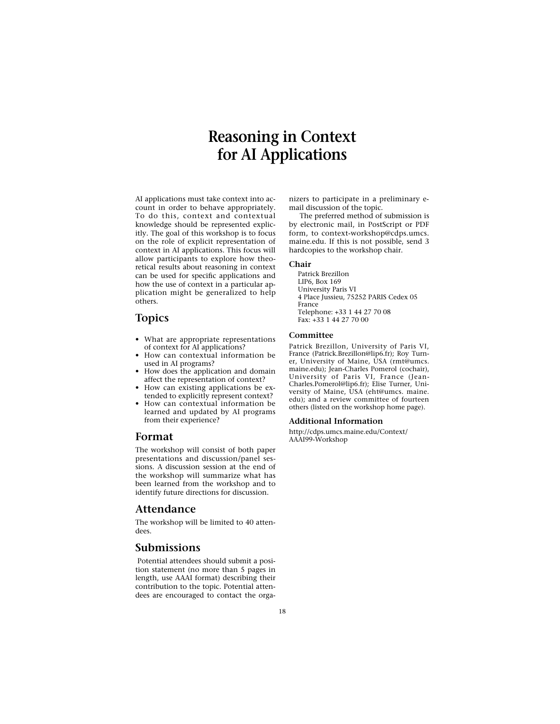# **Reasoning in Context for AI Applications**

AI applications must take context into account in order to behave appropriately. To do this, context and contextual knowledge should be represented explicitly. The goal of this workshop is to focus on the role of explicit representation of context in AI applications. This focus will allow participants to explore how theoretical results about reasoning in context can be used for specific applications and how the use of context in a particular application might be generalized to help others.

# **Topics**

- What are appropriate representations of context for AI applications?
- How can contextual information be used in AI programs?
- How does the application and domain affect the representation of context?
- How can existing applications be extended to explicitly represent context?
- How can contextual information be learned and updated by AI programs from their experience?

### **Format**

The workshop will consist of both paper presentations and discussion/panel sessions. A discussion session at the end of the workshop will summarize what has been learned from the workshop and to identify future directions for discussion.

### **Attendance**

The workshop will be limited to 40 attendees.

### **Submissions**

Potential attendees should submit a position statement (no more than 5 pages in length, use AAAI format) describing their contribution to the topic. Potential attendees are encouraged to contact the organizers to participate in a preliminary email discussion of the topic.

The preferred method of submission is by electronic mail, in PostScript or PDF form, to context-workshop@cdps.umcs. maine.edu. If this is not possible, send 3 hardcopies to the workshop chair.

#### **Chair**

Patrick Brezillon LIP6, Box 169 University Paris VI 4 Place Jussieu, 75252 PARIS Cedex 05 France Telephone: +33 1 44 27 70 08 Fax: +33 1 44 27 70 00

#### **Committee**

Patrick Brezillon, University of Paris VI, France (Patrick.Brezillon@lip6.fr); Roy Turner, University of Maine, USA (rmt@umcs. maine.edu); Jean-Charles Pomerol (cochair), University of Paris VI, France (Jean-Charles.Pomerol@lip6.fr); Elise Turner, University of Maine, USA (eht@umcs. maine. edu); and a review committee of fourteen others (listed on the workshop home page).

#### **Additional Information**

http://cdps.umcs.maine.edu/Context/ AAAI99-Workshop